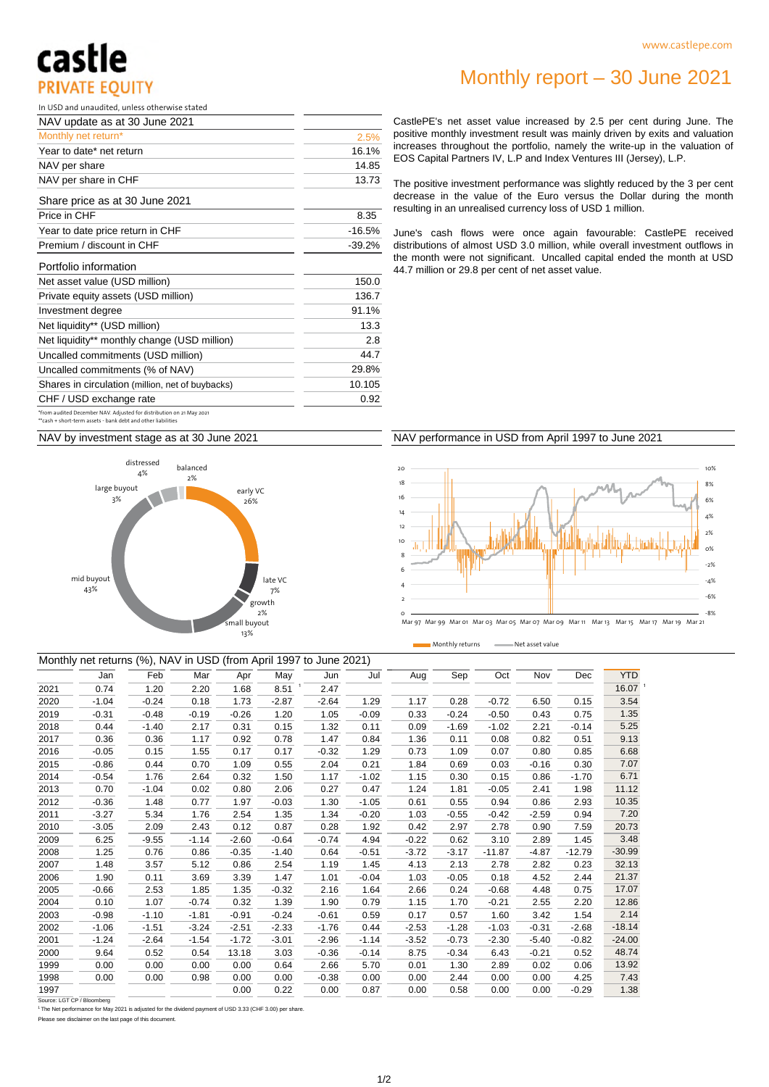## castle **PRIVATE EOUITY**

In USD and unaudited, unless otherwise stated

| NAV update as at 30 June 2021                                                                                                        |          |
|--------------------------------------------------------------------------------------------------------------------------------------|----------|
| Monthly net return*                                                                                                                  | 2.5%     |
| Year to date* net return                                                                                                             | 16.1%    |
| NAV per share                                                                                                                        | 14.85    |
| NAV per share in CHF                                                                                                                 | 13.73    |
| Share price as at 30 June 2021                                                                                                       |          |
| Price in CHF                                                                                                                         | 8.35     |
| Year to date price return in CHF                                                                                                     | $-16.5%$ |
| Premium / discount in CHF                                                                                                            | $-39.2%$ |
| Portfolio information                                                                                                                |          |
| Net asset value (USD million)                                                                                                        | 150.0    |
| Private equity assets (USD million)                                                                                                  | 136.7    |
| Investment degree                                                                                                                    | 91.1%    |
| Net liquidity** (USD million)                                                                                                        | 13.3     |
| Net liquidity** monthly change (USD million)                                                                                         | 2.8      |
| Uncalled commitments (USD million)                                                                                                   | 44.7     |
| Uncalled commitments (% of NAV)                                                                                                      | 29.8%    |
| Shares in circulation (million, net of buybacks)                                                                                     | 10.105   |
| CHF / USD exchange rate                                                                                                              | 0.92     |
| *from audited December NAV. Adjusted for distribution on 21 May 2021<br>**cash + short-term assets - bank debt and other liabilities |          |

### Monthly report – 30 June 2021

CastlePE's net asset value increased by 2.5 per cent during June. The positive monthly investment result was mainly driven by exits and valuation increases throughout the portfolio, namely the write-up in the valuation of EOS Capital Partners IV, L.P and Index Ventures III (Jersey), L.P.

The positive investment performance was slightly reduced by the 3 per cent decrease in the value of the Euro versus the Dollar during the month resulting in an unrealised currency loss of USD 1 million.

June's cash flows were once again favourable: CastlePE received distributions of almost USD 3.0 million, while overall investment outflows in the month were not significant. Uncalled capital ended the month at USD 44.7 million or 29.8 per cent of net asset value.

NAV by investment stage as at 30 June 2021



#### NAV performance in USD from April 1997 to June 2021



Monthly returns - Net asset value

|      | Monthly net returns (%), NAV in USD (from April 1997 to June 2021) |         |         |         |         |         |         |         |         |          |         |          |                    |
|------|--------------------------------------------------------------------|---------|---------|---------|---------|---------|---------|---------|---------|----------|---------|----------|--------------------|
|      | Jan                                                                | Feb     | Mar     | Apr     | May     | Jun     | Jul     | Aug     | Sep     | Oct      | Nov     | Dec      | <b>YTD</b>         |
| 2021 | 0.74                                                               | 1.20    | 2.20    | 1.68    | 8.51    | 2.47    |         |         |         |          |         |          | 16.07 <sup>1</sup> |
| 2020 | $-1.04$                                                            | $-0.24$ | 0.18    | 1.73    | $-2.87$ | $-2.64$ | 1.29    | 1.17    | 0.28    | $-0.72$  | 6.50    | 0.15     | 3.54               |
| 2019 | $-0.31$                                                            | $-0.48$ | $-0.19$ | $-0.26$ | 1.20    | 1.05    | $-0.09$ | 0.33    | $-0.24$ | $-0.50$  | 0.43    | 0.75     | 1.35               |
| 2018 | 0.44                                                               | $-1.40$ | 2.17    | 0.31    | 0.15    | 1.32    | 0.11    | 0.09    | $-1.69$ | $-1.02$  | 2.21    | $-0.14$  | 5.25               |
| 2017 | 0.36                                                               | 0.36    | 1.17    | 0.92    | 0.78    | 1.47    | 0.84    | 1.36    | 0.11    | 0.08     | 0.82    | 0.51     | 9.13               |
| 2016 | $-0.05$                                                            | 0.15    | 1.55    | 0.17    | 0.17    | $-0.32$ | 1.29    | 0.73    | 1.09    | 0.07     | 0.80    | 0.85     | 6.68               |
| 2015 | $-0.86$                                                            | 0.44    | 0.70    | 1.09    | 0.55    | 2.04    | 0.21    | 1.84    | 0.69    | 0.03     | $-0.16$ | 0.30     | 7.07               |
| 2014 | $-0.54$                                                            | 1.76    | 2.64    | 0.32    | 1.50    | 1.17    | $-1.02$ | 1.15    | 0.30    | 0.15     | 0.86    | $-1.70$  | 6.71               |
| 2013 | 0.70                                                               | $-1.04$ | 0.02    | 0.80    | 2.06    | 0.27    | 0.47    | 1.24    | 1.81    | $-0.05$  | 2.41    | 1.98     | 11.12              |
| 2012 | $-0.36$                                                            | 1.48    | 0.77    | 1.97    | $-0.03$ | 1.30    | $-1.05$ | 0.61    | 0.55    | 0.94     | 0.86    | 2.93     | 10.35              |
| 2011 | $-3.27$                                                            | 5.34    | 1.76    | 2.54    | 1.35    | 1.34    | $-0.20$ | 1.03    | $-0.55$ | $-0.42$  | $-2.59$ | 0.94     | 7.20               |
| 2010 | $-3.05$                                                            | 2.09    | 2.43    | 0.12    | 0.87    | 0.28    | 1.92    | 0.42    | 2.97    | 2.78     | 0.90    | 7.59     | 20.73              |
| 2009 | 6.25                                                               | $-9.55$ | $-1.14$ | $-2.60$ | $-0.64$ | $-0.74$ | 4.94    | $-0.22$ | 0.62    | 3.10     | 2.89    | 1.45     | 3.48               |
| 2008 | 1.25                                                               | 0.76    | 0.86    | $-0.35$ | $-1.40$ | 0.64    | $-0.51$ | $-3.72$ | $-3.17$ | $-11.87$ | $-4.87$ | $-12.79$ | $-30.99$           |
| 2007 | 1.48                                                               | 3.57    | 5.12    | 0.86    | 2.54    | 1.19    | 1.45    | 4.13    | 2.13    | 2.78     | 2.82    | 0.23     | 32.13              |
| 2006 | 1.90                                                               | 0.11    | 3.69    | 3.39    | 1.47    | 1.01    | $-0.04$ | 1.03    | $-0.05$ | 0.18     | 4.52    | 2.44     | 21.37              |
| 2005 | $-0.66$                                                            | 2.53    | 1.85    | 1.35    | $-0.32$ | 2.16    | 1.64    | 2.66    | 0.24    | $-0.68$  | 4.48    | 0.75     | 17.07              |
| 2004 | 0.10                                                               | 1.07    | $-0.74$ | 0.32    | 1.39    | 1.90    | 0.79    | 1.15    | 1.70    | $-0.21$  | 2.55    | 2.20     | 12.86              |
| 2003 | $-0.98$                                                            | $-1.10$ | $-1.81$ | $-0.91$ | $-0.24$ | $-0.61$ | 0.59    | 0.17    | 0.57    | 1.60     | 3.42    | 1.54     | 2.14               |
| 2002 | $-1.06$                                                            | $-1.51$ | $-3.24$ | $-2.51$ | $-2.33$ | $-1.76$ | 0.44    | $-2.53$ | $-1.28$ | $-1.03$  | $-0.31$ | $-2.68$  | $-18.14$           |
| 2001 | $-1.24$                                                            | $-2.64$ | $-1.54$ | $-1.72$ | $-3.01$ | $-2.96$ | $-1.14$ | $-3.52$ | $-0.73$ | $-2.30$  | $-5.40$ | $-0.82$  | $-24.00$           |
| 2000 | 9.64                                                               | 0.52    | 0.54    | 13.18   | 3.03    | $-0.36$ | $-0.14$ | 8.75    | $-0.34$ | 6.43     | $-0.21$ | 0.52     | 48.74              |
| 1999 | 0.00                                                               | 0.00    | 0.00    | 0.00    | 0.64    | 2.66    | 5.70    | 0.01    | 1.30    | 2.89     | 0.02    | 0.06     | 13.92              |
| 1998 | 0.00                                                               | 0.00    | 0.98    | 0.00    | 0.00    | $-0.38$ | 0.00    | 0.00    | 2.44    | 0.00     | 0.00    | 4.25     | 7.43               |
| 1997 |                                                                    |         |         | 0.00    | 0.22    | 0.00    | 0.87    | 0.00    | 0.58    | 0.00     | 0.00    | $-0.29$  | 1.38               |
|      |                                                                    |         |         |         |         |         |         |         |         |          |         |          |                    |

 $LGT$  CP  $/B$ 

<sup>1</sup> The Net performance for May 2021 is adjusted for the dividend payment of USD 3.33 (CHF 3.00) per share.

Please see disclaimer on the last page of this document.